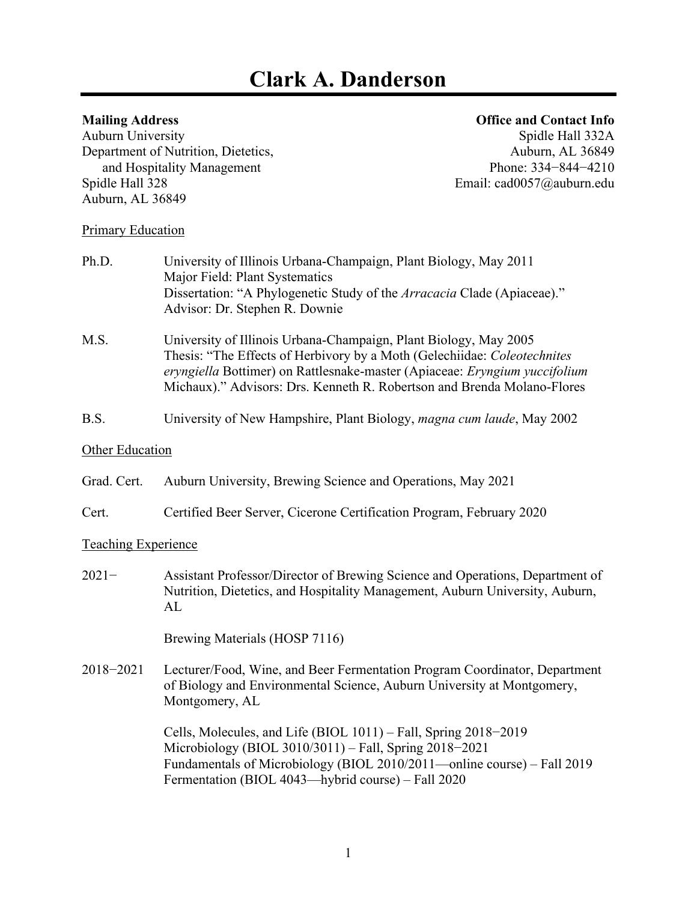# **Clark A. Danderson**

## **Mailing Address Office and Contact Info**

Auburn University<br>
Department of Nutrition, Dietetics,<br>
Auburn, AL 36849 Department of Nutrition, Dietetics, and Hospitality Management Phone: 334−844−4210<br>Spidle Hall 328 Email: cad0057@auburn.edu Auburn, AL 36849

Email: cad0057@auburn.edu

#### **Primary Education**

| Ph.D.                      | University of Illinois Urbana-Champaign, Plant Biology, May 2011<br>Major Field: Plant Systematics                                                                                                                                                                                                    |
|----------------------------|-------------------------------------------------------------------------------------------------------------------------------------------------------------------------------------------------------------------------------------------------------------------------------------------------------|
|                            | Dissertation: "A Phylogenetic Study of the Arracacia Clade (Apiaceae)."<br>Advisor: Dr. Stephen R. Downie                                                                                                                                                                                             |
| M.S.                       | University of Illinois Urbana-Champaign, Plant Biology, May 2005<br>Thesis: "The Effects of Herbivory by a Moth (Gelechiidae: Coleotechnites<br>eryngiella Bottimer) on Rattlesnake-master (Apiaceae: Eryngium yuccifolium<br>Michaux)." Advisors: Drs. Kenneth R. Robertson and Brenda Molano-Flores |
| B.S.                       | University of New Hampshire, Plant Biology, magna cum laude, May 2002                                                                                                                                                                                                                                 |
| <b>Other Education</b>     |                                                                                                                                                                                                                                                                                                       |
| Grad. Cert.                | Auburn University, Brewing Science and Operations, May 2021                                                                                                                                                                                                                                           |
| Cert.                      | Certified Beer Server, Cicerone Certification Program, February 2020                                                                                                                                                                                                                                  |
| <b>Teaching Experience</b> |                                                                                                                                                                                                                                                                                                       |
| $2021 -$                   | Assistant Professor/Director of Brewing Science and Operations, Department of<br>Nutrition, Dietetics, and Hospitality Management, Auburn University, Auburn,<br>AL                                                                                                                                   |
|                            | Brewing Materials (HOSP 7116)                                                                                                                                                                                                                                                                         |
| 2018-2021                  | Lecturer/Food, Wine, and Beer Fermentation Program Coordinator, Department<br>of Biology and Environmental Science, Auburn University at Montgomery,<br>Montgomery, AL                                                                                                                                |
|                            | Cells, Molecules, and Life (BIOL 1011) – Fall, Spring 2018–2019<br>Microbiology (BIOL 3010/3011) - Fall, Spring 2018-2021<br>Fundamentals of Microbiology (BIOL 2010/2011—online course) – Fall 2019<br>Fermentation (BIOL 4043—hybrid course) – Fall 2020                                            |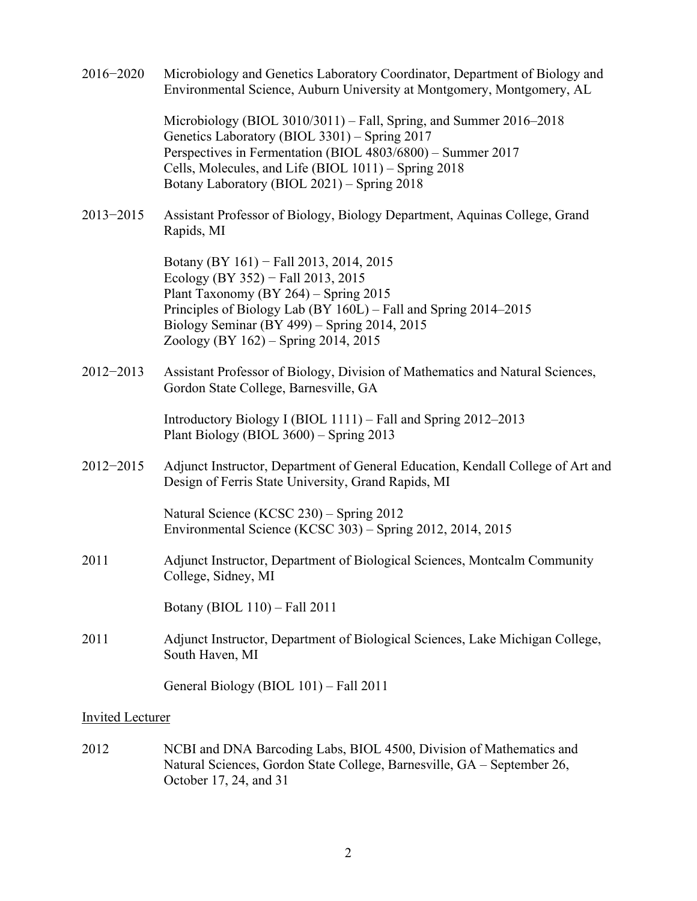- 2016−2020 Microbiology and Genetics Laboratory Coordinator, Department of Biology and Environmental Science, Auburn University at Montgomery, Montgomery, AL Microbiology (BIOL 3010/3011) – Fall, Spring, and Summer 2016–2018 Genetics Laboratory (BIOL 3301) – Spring 2017 Perspectives in Fermentation (BIOL 4803/6800) – Summer 2017 Cells, Molecules, and Life (BIOL 1011) – Spring 2018 Botany Laboratory (BIOL 2021) – Spring 2018 2013−2015 Assistant Professor of Biology, Biology Department, Aquinas College, Grand Rapids, MI Botany (BY 161) − Fall 2013, 2014, 2015 Ecology (BY 352) − Fall 2013, 2015 Plant Taxonomy (BY 264) – Spring 2015 Principles of Biology Lab (BY 160L) – Fall and Spring 2014–2015 Biology Seminar (BY 499) – Spring 2014, 2015 Zoology (BY 162) – Spring 2014, 2015 2012−2013 Assistant Professor of Biology, Division of Mathematics and Natural Sciences, Gordon State College, Barnesville, GA Introductory Biology I (BIOL 1111) – Fall and Spring 2012–2013 Plant Biology (BIOL 3600) – Spring 2013 2012−2015 Adjunct Instructor, Department of General Education, Kendall College of Art and Design of Ferris State University, Grand Rapids, MI Natural Science (KCSC 230) – Spring 2012 Environmental Science (KCSC 303) – Spring 2012, 2014, 2015 2011 Adjunct Instructor, Department of Biological Sciences, Montcalm Community College, Sidney, MI Botany (BIOL 110) – Fall 2011 2011 Adjunct Instructor, Department of Biological Sciences, Lake Michigan College, South Haven, MI General Biology (BIOL 101) – Fall 2011 Invited Lecturer 2012 NCBI and DNA Barcoding Labs, BIOL 4500, Division of Mathematics and
- Natural Sciences, Gordon State College, Barnesville, GA September 26, October 17, 24, and 31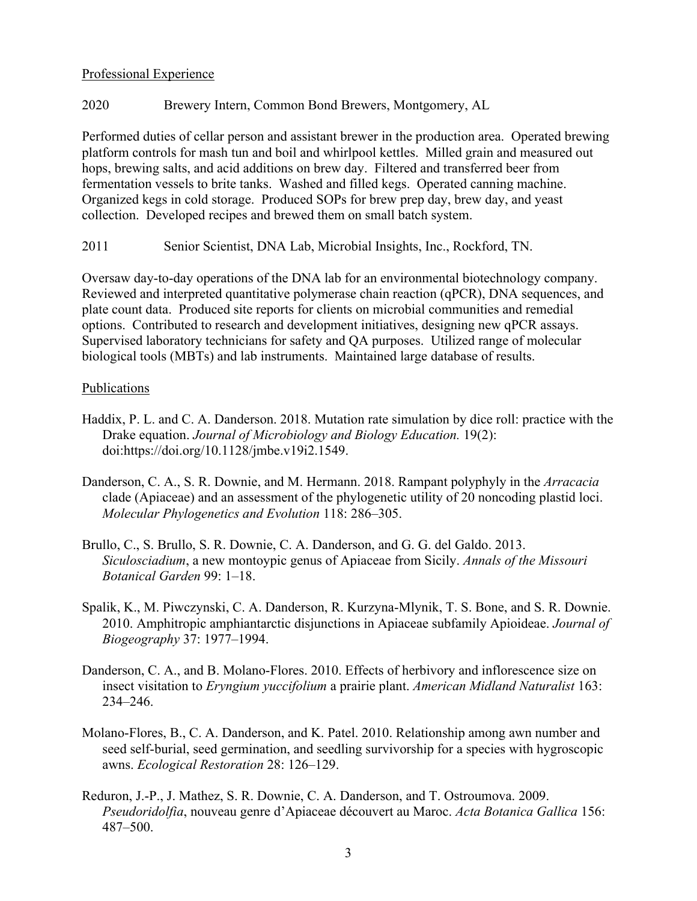#### Professional Experience

### 2020 Brewery Intern, Common Bond Brewers, Montgomery, AL

Performed duties of cellar person and assistant brewer in the production area. Operated brewing platform controls for mash tun and boil and whirlpool kettles. Milled grain and measured out hops, brewing salts, and acid additions on brew day. Filtered and transferred beer from fermentation vessels to brite tanks. Washed and filled kegs. Operated canning machine. Organized kegs in cold storage. Produced SOPs for brew prep day, brew day, and yeast collection. Developed recipes and brewed them on small batch system.

2011 Senior Scientist, DNA Lab, Microbial Insights, Inc., Rockford, TN.

Oversaw day-to-day operations of the DNA lab for an environmental biotechnology company. Reviewed and interpreted quantitative polymerase chain reaction (qPCR), DNA sequences, and plate count data. Produced site reports for clients on microbial communities and remedial options. Contributed to research and development initiatives, designing new qPCR assays. Supervised laboratory technicians for safety and QA purposes. Utilized range of molecular biological tools (MBTs) and lab instruments. Maintained large database of results.

#### **Publications**

- Haddix, P. L. and C. A. Danderson. 2018. Mutation rate simulation by dice roll: practice with the Drake equation. *Journal of Microbiology and Biology Education.* 19(2): doi:https://doi.org/10.1128/jmbe.v19i2.1549.
- Danderson, C. A., S. R. Downie, and M. Hermann. 2018. Rampant polyphyly in the *Arracacia* clade (Apiaceae) and an assessment of the phylogenetic utility of 20 noncoding plastid loci. *Molecular Phylogenetics and Evolution* 118: 286–305.
- Brullo, C., S. Brullo, S. R. Downie, C. A. Danderson, and G. G. del Galdo. 2013. *Siculosciadium*, a new montoypic genus of Apiaceae from Sicily. *Annals of the Missouri Botanical Garden* 99: 1–18.
- Spalik, K., M. Piwczynski, C. A. Danderson, R. Kurzyna-Mlynik, T. S. Bone, and S. R. Downie. 2010. Amphitropic amphiantarctic disjunctions in Apiaceae subfamily Apioideae. *Journal of Biogeography* 37: 1977–1994.
- Danderson, C. A., and B. Molano-Flores. 2010. Effects of herbivory and inflorescence size on insect visitation to *Eryngium yuccifolium* a prairie plant. *American Midland Naturalist* 163: 234–246.
- Molano-Flores, B., C. A. Danderson, and K. Patel. 2010. Relationship among awn number and seed self-burial, seed germination, and seedling survivorship for a species with hygroscopic awns. *Ecological Restoration* 28: 126–129.
- Reduron, J.-P., J. Mathez, S. R. Downie, C. A. Danderson, and T. Ostroumova. 2009. *Pseudoridolfia*, nouveau genre d'Apiaceae découvert au Maroc. *Acta Botanica Gallica* 156: 487–500.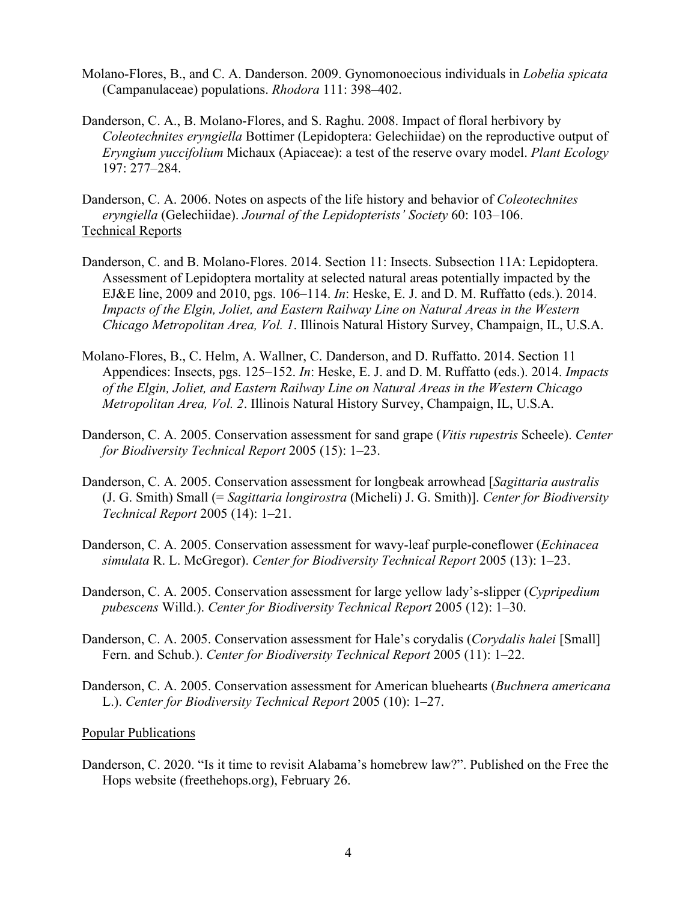- Molano-Flores, B., and C. A. Danderson. 2009. Gynomonoecious individuals in *Lobelia spicata*  (Campanulaceae) populations. *Rhodora* 111: 398–402.
- Danderson, C. A., B. Molano-Flores, and S. Raghu. 2008. Impact of floral herbivory by *Coleotechnites eryngiella* Bottimer (Lepidoptera: Gelechiidae) on the reproductive output of *Eryngium yuccifolium* Michaux (Apiaceae): a test of the reserve ovary model. *Plant Ecology* 197: 277–284.
- Danderson, C. A. 2006. Notes on aspects of the life history and behavior of *Coleotechnites eryngiella* (Gelechiidae). *Journal of the Lepidopterists' Society* 60: 103–106. Technical Reports
- Danderson, C. and B. Molano-Flores. 2014. Section 11: Insects. Subsection 11A: Lepidoptera. Assessment of Lepidoptera mortality at selected natural areas potentially impacted by the EJ&E line, 2009 and 2010, pgs. 106–114. *In*: Heske, E. J. and D. M. Ruffatto (eds.). 2014. *Impacts of the Elgin, Joliet, and Eastern Railway Line on Natural Areas in the Western Chicago Metropolitan Area, Vol. 1*. Illinois Natural History Survey, Champaign, IL, U.S.A.
- Molano-Flores, B., C. Helm, A. Wallner, C. Danderson, and D. Ruffatto. 2014. Section 11 Appendices: Insects, pgs. 125–152. *In*: Heske, E. J. and D. M. Ruffatto (eds.). 2014. *Impacts of the Elgin, Joliet, and Eastern Railway Line on Natural Areas in the Western Chicago Metropolitan Area, Vol. 2*. Illinois Natural History Survey, Champaign, IL, U.S.A.
- Danderson, C. A. 2005. Conservation assessment for sand grape (*Vitis rupestris* Scheele). *Center for Biodiversity Technical Report* 2005 (15): 1–23.
- Danderson, C. A. 2005. Conservation assessment for longbeak arrowhead [*Sagittaria australis*  (J. G. Smith) Small (= *Sagittaria longirostra* (Micheli) J. G. Smith)]. *Center for Biodiversity Technical Report* 2005 (14): 1–21.
- Danderson, C. A. 2005. Conservation assessment for wavy-leaf purple-coneflower (*Echinacea simulata* R. L. McGregor). *Center for Biodiversity Technical Report* 2005 (13): 1–23.
- Danderson, C. A. 2005. Conservation assessment for large yellow lady's-slipper (*Cypripedium pubescens* Willd.). *Center for Biodiversity Technical Report* 2005 (12): 1–30.
- Danderson, C. A. 2005. Conservation assessment for Hale's corydalis (*Corydalis halei* [Small] Fern. and Schub.). *Center for Biodiversity Technical Report* 2005 (11): 1–22.
- Danderson, C. A. 2005. Conservation assessment for American bluehearts (*Buchnera americana* L.). *Center for Biodiversity Technical Report* 2005 (10): 1–27.

#### Popular Publications

Danderson, C. 2020. "Is it time to revisit Alabama's homebrew law?". Published on the Free the Hops website (freethehops.org), February 26.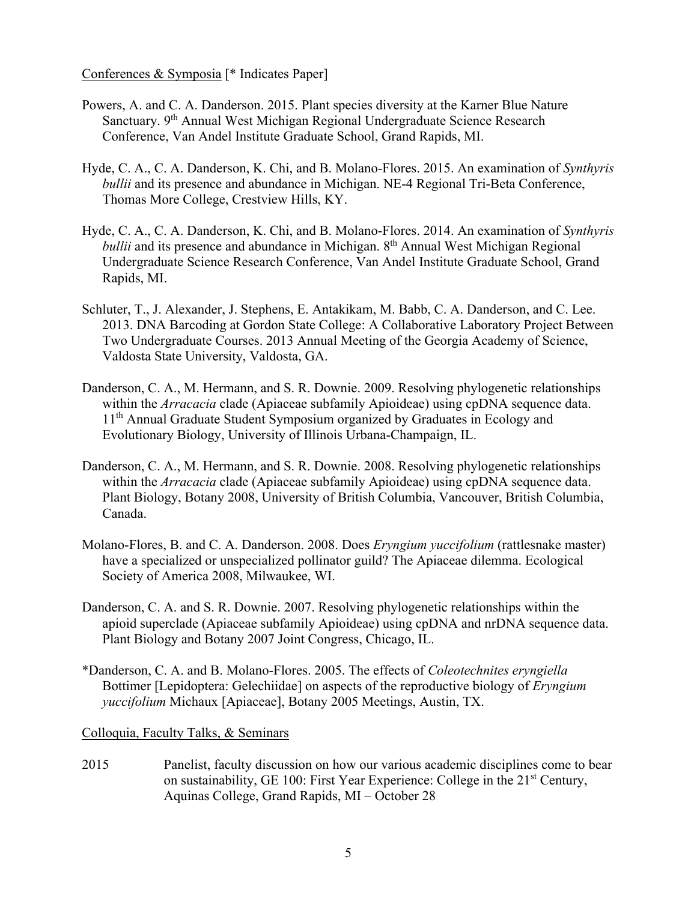Conferences & Symposia [\* Indicates Paper]

- Powers, A. and C. A. Danderson. 2015. Plant species diversity at the Karner Blue Nature Sanctuary. 9<sup>th</sup> Annual West Michigan Regional Undergraduate Science Research Conference, Van Andel Institute Graduate School, Grand Rapids, MI.
- Hyde, C. A., C. A. Danderson, K. Chi, and B. Molano-Flores. 2015. An examination of *Synthyris bullii* and its presence and abundance in Michigan. NE-4 Regional Tri-Beta Conference, Thomas More College, Crestview Hills, KY.
- Hyde, C. A., C. A. Danderson, K. Chi, and B. Molano-Flores. 2014. An examination of *Synthyris bullii* and its presence and abundance in Michigan. 8<sup>th</sup> Annual West Michigan Regional Undergraduate Science Research Conference, Van Andel Institute Graduate School, Grand Rapids, MI.
- Schluter, T., J. Alexander, J. Stephens, E. Antakikam, M. Babb, C. A. Danderson, and C. Lee. 2013. DNA Barcoding at Gordon State College: A Collaborative Laboratory Project Between Two Undergraduate Courses. 2013 Annual Meeting of the Georgia Academy of Science, Valdosta State University, Valdosta, GA.
- Danderson, C. A., M. Hermann, and S. R. Downie. 2009. Resolving phylogenetic relationships within the *Arracacia* clade (Apiaceae subfamily Apioideae) using cpDNA sequence data. 11<sup>th</sup> Annual Graduate Student Symposium organized by Graduates in Ecology and Evolutionary Biology, University of Illinois Urbana-Champaign, IL.
- Danderson, C. A., M. Hermann, and S. R. Downie. 2008. Resolving phylogenetic relationships within the *Arracacia* clade (Apiaceae subfamily Apioideae) using cpDNA sequence data. Plant Biology, Botany 2008, University of British Columbia, Vancouver, British Columbia, Canada.
- Molano-Flores, B. and C. A. Danderson. 2008. Does *Eryngium yuccifolium* (rattlesnake master) have a specialized or unspecialized pollinator guild? The Apiaceae dilemma. Ecological Society of America 2008, Milwaukee, WI.
- Danderson, C. A. and S. R. Downie. 2007. Resolving phylogenetic relationships within the apioid superclade (Apiaceae subfamily Apioideae) using cpDNA and nrDNA sequence data. Plant Biology and Botany 2007 Joint Congress, Chicago, IL.
- \*Danderson, C. A. and B. Molano-Flores. 2005. The effects of *Coleotechnites eryngiella*  Bottimer [Lepidoptera: Gelechiidae] on aspects of the reproductive biology of *Eryngium yuccifolium* Michaux [Apiaceae], Botany 2005 Meetings, Austin, TX.

#### Colloquia, Faculty Talks, & Seminars

2015 Panelist, faculty discussion on how our various academic disciplines come to bear on sustainability, GE 100: First Year Experience: College in the  $21<sup>st</sup>$  Century, Aquinas College, Grand Rapids, MI – October 28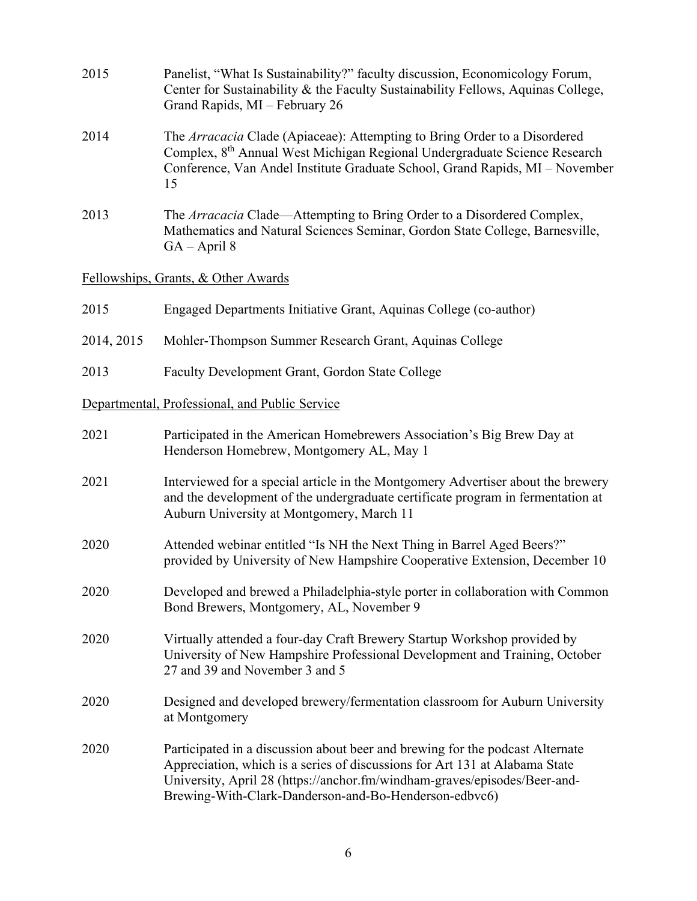| 2015                                | Panelist, "What Is Sustainability?" faculty discussion, Economicology Forum,<br>Center for Sustainability & the Faculty Sustainability Fellows, Aquinas College,<br>Grand Rapids, MI - February 26                                                                                                 |  |
|-------------------------------------|----------------------------------------------------------------------------------------------------------------------------------------------------------------------------------------------------------------------------------------------------------------------------------------------------|--|
| 2014                                | The Arracacia Clade (Apiaceae): Attempting to Bring Order to a Disordered<br>Complex, 8 <sup>th</sup> Annual West Michigan Regional Undergraduate Science Research<br>Conference, Van Andel Institute Graduate School, Grand Rapids, MI - November<br>15                                           |  |
| 2013                                | The Arracacia Clade—Attempting to Bring Order to a Disordered Complex,<br>Mathematics and Natural Sciences Seminar, Gordon State College, Barnesville,<br>$GA - April 8$                                                                                                                           |  |
| Fellowships, Grants, & Other Awards |                                                                                                                                                                                                                                                                                                    |  |
| 2015                                | Engaged Departments Initiative Grant, Aquinas College (co-author)                                                                                                                                                                                                                                  |  |
| 2014, 2015                          | Mohler-Thompson Summer Research Grant, Aquinas College                                                                                                                                                                                                                                             |  |
| 2013                                | Faculty Development Grant, Gordon State College                                                                                                                                                                                                                                                    |  |
|                                     | Departmental, Professional, and Public Service                                                                                                                                                                                                                                                     |  |
| 2021                                | Participated in the American Homebrewers Association's Big Brew Day at<br>Henderson Homebrew, Montgomery AL, May 1                                                                                                                                                                                 |  |
| 2021                                | Interviewed for a special article in the Montgomery Advertiser about the brewery<br>and the development of the undergraduate certificate program in fermentation at<br>Auburn University at Montgomery, March 11                                                                                   |  |
| 2020                                | Attended webinar entitled "Is NH the Next Thing in Barrel Aged Beers?"<br>provided by University of New Hampshire Cooperative Extension, December 10                                                                                                                                               |  |
| 2020                                | Developed and brewed a Philadelphia-style porter in collaboration with Common<br>Bond Brewers, Montgomery, AL, November 9                                                                                                                                                                          |  |
| 2020                                | Virtually attended a four-day Craft Brewery Startup Workshop provided by<br>University of New Hampshire Professional Development and Training, October<br>27 and 39 and November 3 and 5                                                                                                           |  |
| 2020                                | Designed and developed brewery/fermentation classroom for Auburn University<br>at Montgomery                                                                                                                                                                                                       |  |
| 2020                                | Participated in a discussion about beer and brewing for the podcast Alternate<br>Appreciation, which is a series of discussions for Art 131 at Alabama State<br>University, April 28 (https://anchor.fm/windham-graves/episodes/Beer-and-<br>Brewing-With-Clark-Danderson-and-Bo-Henderson-edbvc6) |  |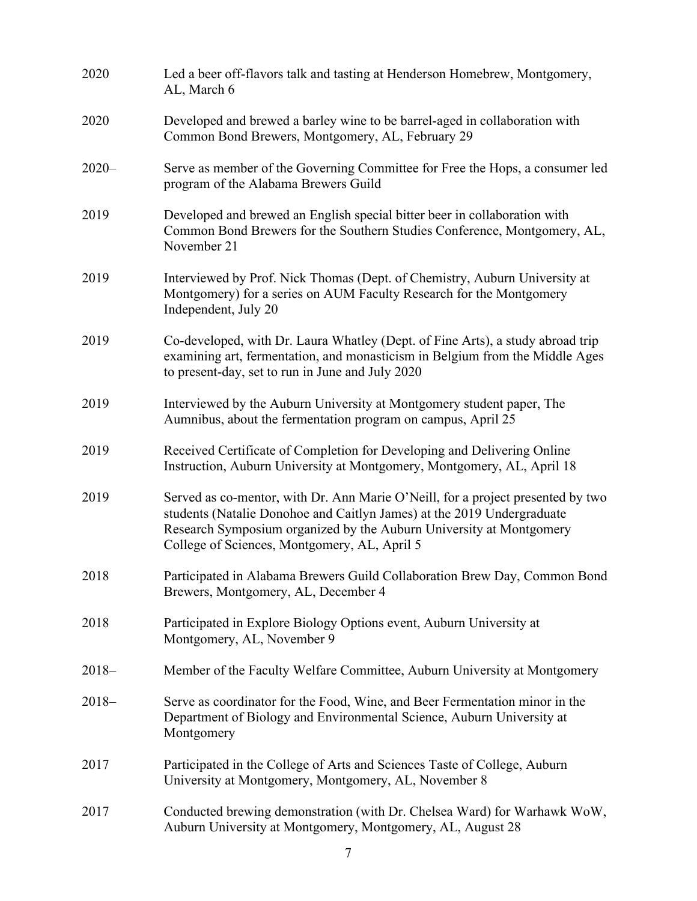| 2020     | Led a beer off-flavors talk and tasting at Henderson Homebrew, Montgomery,<br>AL, March 6                                                                                                                                                                                        |
|----------|----------------------------------------------------------------------------------------------------------------------------------------------------------------------------------------------------------------------------------------------------------------------------------|
| 2020     | Developed and brewed a barley wine to be barrel-aged in collaboration with<br>Common Bond Brewers, Montgomery, AL, February 29                                                                                                                                                   |
| $2020 -$ | Serve as member of the Governing Committee for Free the Hops, a consumer led<br>program of the Alabama Brewers Guild                                                                                                                                                             |
| 2019     | Developed and brewed an English special bitter beer in collaboration with<br>Common Bond Brewers for the Southern Studies Conference, Montgomery, AL,<br>November 21                                                                                                             |
| 2019     | Interviewed by Prof. Nick Thomas (Dept. of Chemistry, Auburn University at<br>Montgomery) for a series on AUM Faculty Research for the Montgomery<br>Independent, July 20                                                                                                        |
| 2019     | Co-developed, with Dr. Laura Whatley (Dept. of Fine Arts), a study abroad trip<br>examining art, fermentation, and monasticism in Belgium from the Middle Ages<br>to present-day, set to run in June and July 2020                                                               |
| 2019     | Interviewed by the Auburn University at Montgomery student paper, The<br>Aumnibus, about the fermentation program on campus, April 25                                                                                                                                            |
| 2019     | Received Certificate of Completion for Developing and Delivering Online<br>Instruction, Auburn University at Montgomery, Montgomery, AL, April 18                                                                                                                                |
| 2019     | Served as co-mentor, with Dr. Ann Marie O'Neill, for a project presented by two<br>students (Natalie Donohoe and Caitlyn James) at the 2019 Undergraduate<br>Research Symposium organized by the Auburn University at Montgomery<br>College of Sciences, Montgomery, AL, April 5 |
| 2018     | Participated in Alabama Brewers Guild Collaboration Brew Day, Common Bond<br>Brewers, Montgomery, AL, December 4                                                                                                                                                                 |
| 2018     | Participated in Explore Biology Options event, Auburn University at<br>Montgomery, AL, November 9                                                                                                                                                                                |
| $2018-$  | Member of the Faculty Welfare Committee, Auburn University at Montgomery                                                                                                                                                                                                         |
| $2018-$  | Serve as coordinator for the Food, Wine, and Beer Fermentation minor in the<br>Department of Biology and Environmental Science, Auburn University at<br>Montgomery                                                                                                               |
| 2017     | Participated in the College of Arts and Sciences Taste of College, Auburn<br>University at Montgomery, Montgomery, AL, November 8                                                                                                                                                |
| 2017     | Conducted brewing demonstration (with Dr. Chelsea Ward) for Warhawk WoW,<br>Auburn University at Montgomery, Montgomery, AL, August 28                                                                                                                                           |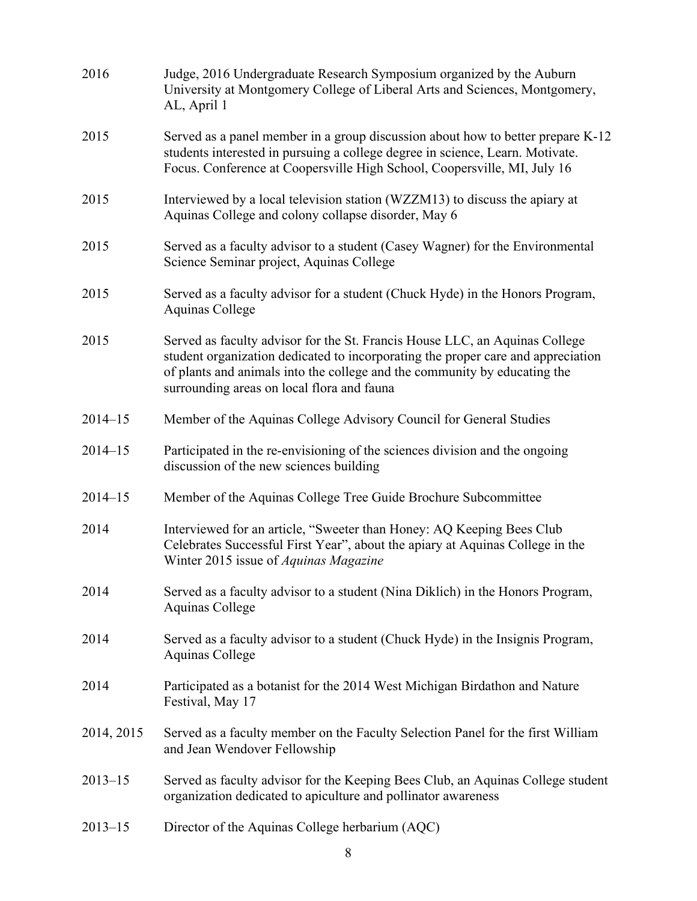| 2016        | Judge, 2016 Undergraduate Research Symposium organized by the Auburn<br>University at Montgomery College of Liberal Arts and Sciences, Montgomery,<br>AL, April 1                                                                                                                          |
|-------------|--------------------------------------------------------------------------------------------------------------------------------------------------------------------------------------------------------------------------------------------------------------------------------------------|
| 2015        | Served as a panel member in a group discussion about how to better prepare K-12<br>students interested in pursuing a college degree in science, Learn. Motivate.<br>Focus. Conference at Coopersville High School, Coopersville, MI, July 16                                               |
| 2015        | Interviewed by a local television station (WZZM13) to discuss the apiary at<br>Aquinas College and colony collapse disorder, May 6                                                                                                                                                         |
| 2015        | Served as a faculty advisor to a student (Casey Wagner) for the Environmental<br>Science Seminar project, Aquinas College                                                                                                                                                                  |
| 2015        | Served as a faculty advisor for a student (Chuck Hyde) in the Honors Program,<br>Aquinas College                                                                                                                                                                                           |
| 2015        | Served as faculty advisor for the St. Francis House LLC, an Aquinas College<br>student organization dedicated to incorporating the proper care and appreciation<br>of plants and animals into the college and the community by educating the<br>surrounding areas on local flora and fauna |
| $2014 - 15$ | Member of the Aquinas College Advisory Council for General Studies                                                                                                                                                                                                                         |
| $2014 - 15$ | Participated in the re-envisioning of the sciences division and the ongoing<br>discussion of the new sciences building                                                                                                                                                                     |
| $2014 - 15$ | Member of the Aquinas College Tree Guide Brochure Subcommittee                                                                                                                                                                                                                             |
| 2014        | Interviewed for an article, "Sweeter than Honey: AQ Keeping Bees Club<br>Celebrates Successful First Year", about the apiary at Aquinas College in the<br>Winter 2015 issue of <i>Aquinas Magazine</i>                                                                                     |
| 2014        | Served as a faculty advisor to a student (Nina Diklich) in the Honors Program,<br>Aquinas College                                                                                                                                                                                          |
| 2014        | Served as a faculty advisor to a student (Chuck Hyde) in the Insignis Program,<br>Aquinas College                                                                                                                                                                                          |
| 2014        | Participated as a botanist for the 2014 West Michigan Birdathon and Nature<br>Festival, May 17                                                                                                                                                                                             |
| 2014, 2015  | Served as a faculty member on the Faculty Selection Panel for the first William<br>and Jean Wendover Fellowship                                                                                                                                                                            |
| $2013 - 15$ | Served as faculty advisor for the Keeping Bees Club, an Aquinas College student<br>organization dedicated to apiculture and pollinator awareness                                                                                                                                           |
| $2013 - 15$ | Director of the Aquinas College herbarium (AQC)                                                                                                                                                                                                                                            |